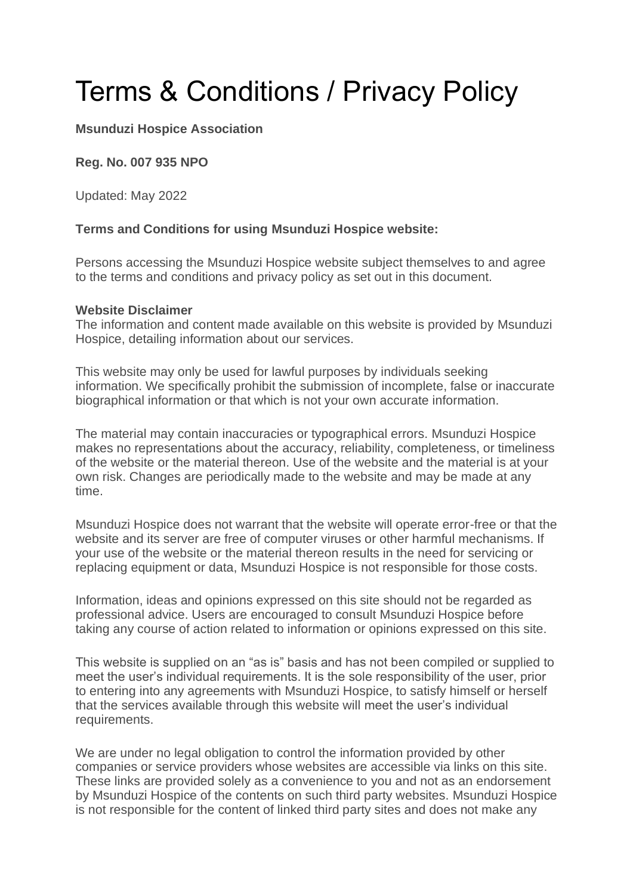# Terms & Conditions / Privacy Policy

## **Msunduzi Hospice Association**

## **Reg. No. 007 935 NPO**

Updated: May 2022

## **Terms and Conditions for using Msunduzi Hospice website:**

Persons accessing the Msunduzi Hospice website subject themselves to and agree to the terms and conditions and privacy policy as set out in this document.

#### **Website Disclaimer**

The information and content made available on this website is provided by Msunduzi Hospice, detailing information about our services.

This website may only be used for lawful purposes by individuals seeking information. We specifically prohibit the submission of incomplete, false or inaccurate biographical information or that which is not your own accurate information.

The material may contain inaccuracies or typographical errors. Msunduzi Hospice makes no representations about the accuracy, reliability, completeness, or timeliness of the website or the material thereon. Use of the website and the material is at your own risk. Changes are periodically made to the website and may be made at any time.

Msunduzi Hospice does not warrant that the website will operate error-free or that the website and its server are free of computer viruses or other harmful mechanisms. If your use of the website or the material thereon results in the need for servicing or replacing equipment or data, Msunduzi Hospice is not responsible for those costs.

Information, ideas and opinions expressed on this site should not be regarded as professional advice. Users are encouraged to consult Msunduzi Hospice before taking any course of action related to information or opinions expressed on this site.

This website is supplied on an "as is" basis and has not been compiled or supplied to meet the user's individual requirements. It is the sole responsibility of the user, prior to entering into any agreements with Msunduzi Hospice, to satisfy himself or herself that the services available through this website will meet the user's individual requirements.

We are under no legal obligation to control the information provided by other companies or service providers whose websites are accessible via links on this site. These links are provided solely as a convenience to you and not as an endorsement by Msunduzi Hospice of the contents on such third party websites. Msunduzi Hospice is not responsible for the content of linked third party sites and does not make any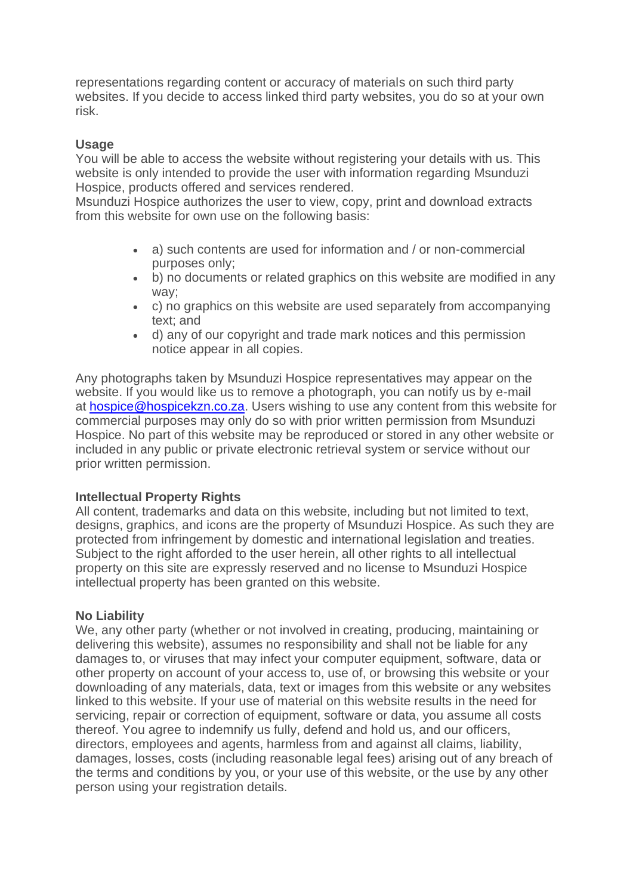representations regarding content or accuracy of materials on such third party websites. If you decide to access linked third party websites, you do so at your own risk.

## **Usage**

You will be able to access the website without registering your details with us. This website is only intended to provide the user with information regarding Msunduzi Hospice, products offered and services rendered.

Msunduzi Hospice authorizes the user to view, copy, print and download extracts from this website for own use on the following basis:

- a) such contents are used for information and / or non-commercial purposes only;
- b) no documents or related graphics on this website are modified in any way;
- c) no graphics on this website are used separately from accompanying text; and
- d) any of our copyright and trade mark notices and this permission notice appear in all copies.

Any photographs taken by Msunduzi Hospice representatives may appear on the website. If you would like us to remove a photograph, you can notify us by e-mail at [hospice@hospicekzn.co.za.](mailto:hospice@hospicekzn.co.za) Users wishing to use any content from this website for commercial purposes may only do so with prior written permission from Msunduzi Hospice. No part of this website may be reproduced or stored in any other website or included in any public or private electronic retrieval system or service without our prior written permission.

## **Intellectual Property Rights**

All content, trademarks and data on this website, including but not limited to text, designs, graphics, and icons are the property of Msunduzi Hospice. As such they are protected from infringement by domestic and international legislation and treaties. Subject to the right afforded to the user herein, all other rights to all intellectual property on this site are expressly reserved and no license to Msunduzi Hospice intellectual property has been granted on this website.

### **No Liability**

We, any other party (whether or not involved in creating, producing, maintaining or delivering this website), assumes no responsibility and shall not be liable for any damages to, or viruses that may infect your computer equipment, software, data or other property on account of your access to, use of, or browsing this website or your downloading of any materials, data, text or images from this website or any websites linked to this website. If your use of material on this website results in the need for servicing, repair or correction of equipment, software or data, you assume all costs thereof. You agree to indemnify us fully, defend and hold us, and our officers, directors, employees and agents, harmless from and against all claims, liability, damages, losses, costs (including reasonable legal fees) arising out of any breach of the terms and conditions by you, or your use of this website, or the use by any other person using your registration details.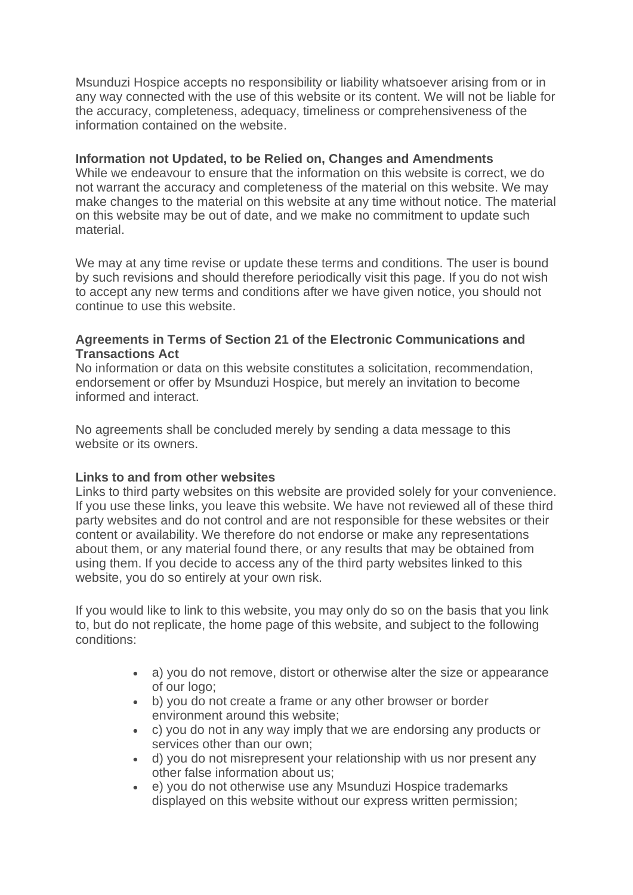Msunduzi Hospice accepts no responsibility or liability whatsoever arising from or in any way connected with the use of this website or its content. We will not be liable for the accuracy, completeness, adequacy, timeliness or comprehensiveness of the information contained on the website.

#### **Information not Updated, to be Relied on, Changes and Amendments**

While we endeavour to ensure that the information on this website is correct, we do not warrant the accuracy and completeness of the material on this website. We may make changes to the material on this website at any time without notice. The material on this website may be out of date, and we make no commitment to update such material.

We may at any time revise or update these terms and conditions. The user is bound by such revisions and should therefore periodically visit this page. If you do not wish to accept any new terms and conditions after we have given notice, you should not continue to use this website.

#### **Agreements in Terms of Section 21 of the Electronic Communications and Transactions Act**

No information or data on this website constitutes a solicitation, recommendation, endorsement or offer by Msunduzi Hospice, but merely an invitation to become informed and interact.

No agreements shall be concluded merely by sending a data message to this website or its owners.

### **Links to and from other websites**

Links to third party websites on this website are provided solely for your convenience. If you use these links, you leave this website. We have not reviewed all of these third party websites and do not control and are not responsible for these websites or their content or availability. We therefore do not endorse or make any representations about them, or any material found there, or any results that may be obtained from using them. If you decide to access any of the third party websites linked to this website, you do so entirely at your own risk.

If you would like to link to this website, you may only do so on the basis that you link to, but do not replicate, the home page of this website, and subject to the following conditions:

- a) you do not remove, distort or otherwise alter the size or appearance of our logo;
- b) you do not create a frame or any other browser or border environment around this website;
- c) you do not in any way imply that we are endorsing any products or services other than our own;
- d) you do not misrepresent your relationship with us nor present any other false information about us;
- e) you do not otherwise use any Msunduzi Hospice trademarks displayed on this website without our express written permission;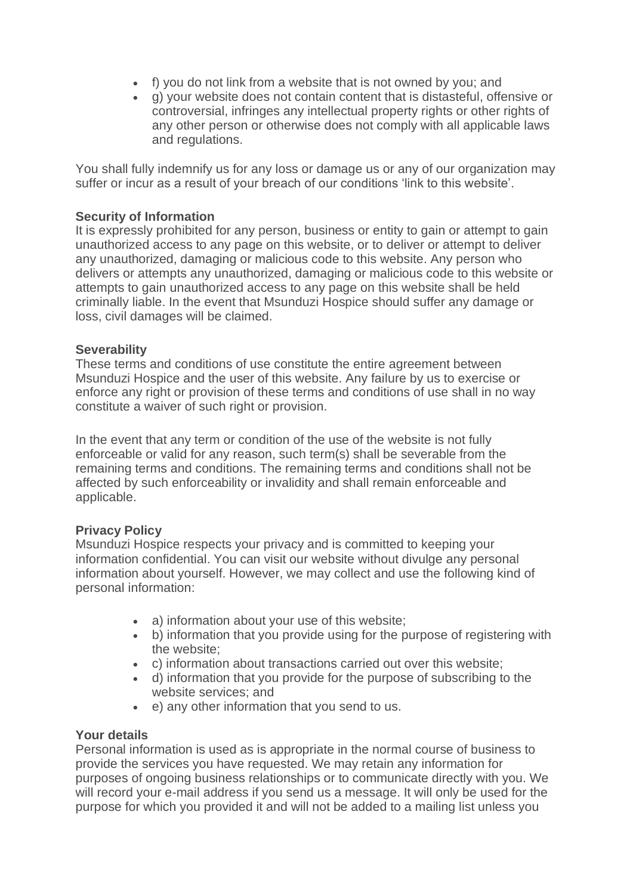- f) you do not link from a website that is not owned by you; and
- g) your website does not contain content that is distasteful, offensive or controversial, infringes any intellectual property rights or other rights of any other person or otherwise does not comply with all applicable laws and regulations.

You shall fully indemnify us for any loss or damage us or any of our organization may suffer or incur as a result of your breach of our conditions 'link to this website'.

## **Security of Information**

It is expressly prohibited for any person, business or entity to gain or attempt to gain unauthorized access to any page on this website, or to deliver or attempt to deliver any unauthorized, damaging or malicious code to this website. Any person who delivers or attempts any unauthorized, damaging or malicious code to this website or attempts to gain unauthorized access to any page on this website shall be held criminally liable. In the event that Msunduzi Hospice should suffer any damage or loss, civil damages will be claimed.

### **Severability**

These terms and conditions of use constitute the entire agreement between Msunduzi Hospice and the user of this website. Any failure by us to exercise or enforce any right or provision of these terms and conditions of use shall in no way constitute a waiver of such right or provision.

In the event that any term or condition of the use of the website is not fully enforceable or valid for any reason, such term(s) shall be severable from the remaining terms and conditions. The remaining terms and conditions shall not be affected by such enforceability or invalidity and shall remain enforceable and applicable.

### **Privacy Policy**

Msunduzi Hospice respects your privacy and is committed to keeping your information confidential. You can visit our website without divulge any personal information about yourself. However, we may collect and use the following kind of personal information:

- a) information about your use of this website;
- b) information that you provide using for the purpose of registering with the website;
- c) information about transactions carried out over this website;
- d) information that you provide for the purpose of subscribing to the website services; and
- e) any other information that you send to us.

### **Your details**

Personal information is used as is appropriate in the normal course of business to provide the services you have requested. We may retain any information for purposes of ongoing business relationships or to communicate directly with you. We will record your e-mail address if you send us a message. It will only be used for the purpose for which you provided it and will not be added to a mailing list unless you